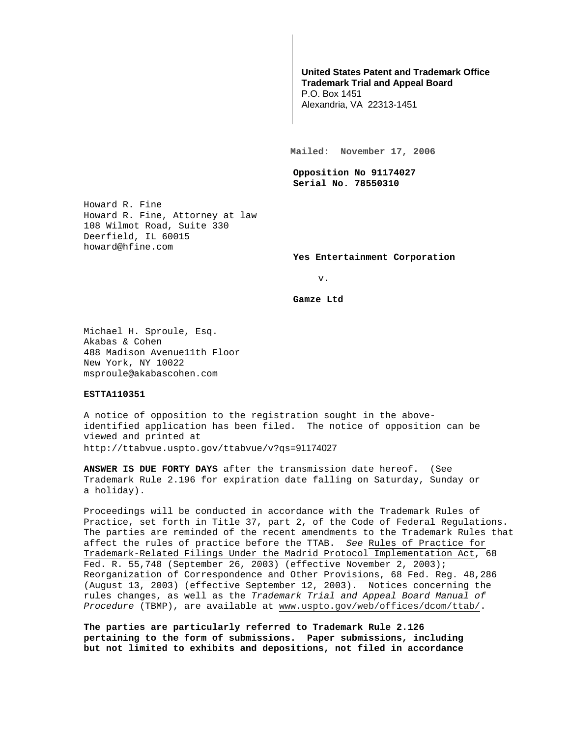## **United States Patent and Trademark Office Trademark Trial and Appeal Board**

P.O. Box 1451 Alexandria, VA 22313-1451

**Mailed: November 17, 2006** 

**Opposition No 91174027 Serial No. 78550310** 

Howard R. Fine Howard R. Fine, Attorney at law 108 Wilmot Road, Suite 330 Deerfield, IL 60015 howard@hfine.com

**Yes Entertainment Corporation** 

v.

**Gamze Ltd** 

Michael H. Sproule, Esq. Akabas & Cohen 488 Madison Avenue11th Floor New York, NY 10022 msproule@akabascohen.com

## **ESTTA110351**

A notice of opposition to the registration sought in the aboveidentified application has been filed. The notice of opposition can be viewed and printed at http://ttabvue.uspto.gov/ttabvue/v?qs=91174027

**ANSWER IS DUE FORTY DAYS** after the transmission date hereof. (See Trademark Rule 2.196 for expiration date falling on Saturday, Sunday or a holiday).

Proceedings will be conducted in accordance with the Trademark Rules of Practice, set forth in Title 37, part 2, of the Code of Federal Regulations. The parties are reminded of the recent amendments to the Trademark Rules that affect the rules of practice before the TTAB. See Rules of Practice for Trademark-Related Filings Under the Madrid Protocol Implementation Act, 68 Fed. R. 55,748 (September 26, 2003) (effective November 2, 2003); Reorganization of Correspondence and Other Provisions, 68 Fed. Reg. 48,286 (August 13, 2003) (effective September 12, 2003). Notices concerning the rules changes, as well as the Trademark Trial and Appeal Board Manual of Procedure (TBMP), are available at www.uspto.gov/web/offices/dcom/ttab/.

**The parties are particularly referred to Trademark Rule 2.126 pertaining to the form of submissions. Paper submissions, including but not limited to exhibits and depositions, not filed in accordance**